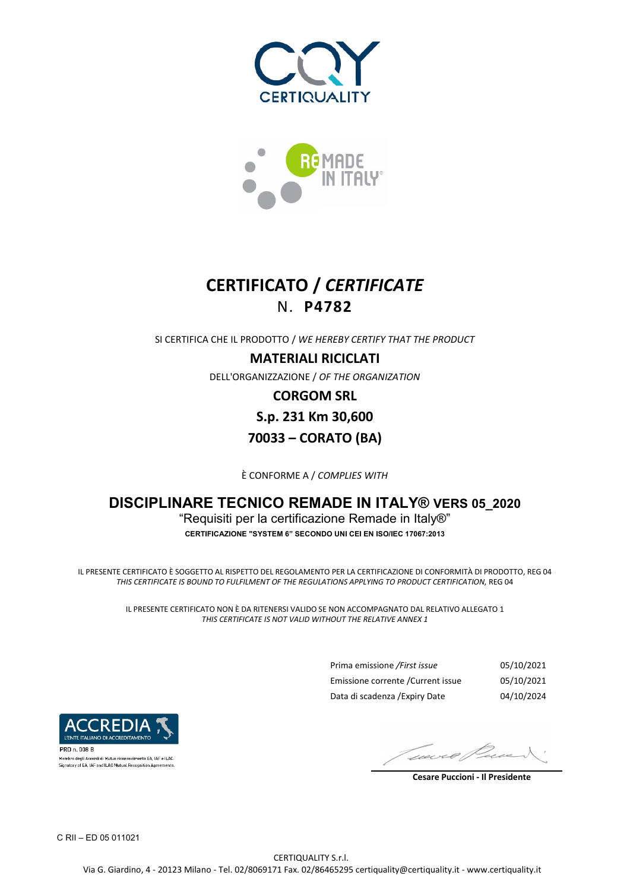



# **CERTIFICATO /** *CERTIFICATE* N. **P4782**

SI CERTIFICA CHE IL PRODOTTO / *WE HEREBY CERTIFY THAT THE PRODUCT*

#### **MATERIALI RICICLATI**

DELL'ORGANIZZAZIONE / *OF THE ORGANIZATION*

**CORGOM SRL S.p. 231 Km 30,600 70033 – CORATO (BA)** 

È CONFORME A / *COMPLIES WITH*

### **DISCIPLINARE TECNICO REMADE IN ITALY® VERS 05\_2020** "Requisiti per la certificazione Remade in Italy®" **CERTIFICAZIONE "SYSTEM 6" SECONDO UNI CEI EN ISO/IEC 17067:2013**

IL PRESENTE CERTIFICATO È SOGGETTO AL RISPETTO DEL REGOLAMENTO PER LA CERTIFICAZIONE DI CONFORMITÀ DI PRODOTTO, REG 04 *THIS CERTIFICATE IS BOUND TO FULFILMENT OF THE REGULATIONS APPLYING TO PRODUCT CERTIFICATION,* REG 04

> IL PRESENTE CERTIFICATO NON È DA RITENERSI VALIDO SE NON ACCOMPAGNATO DAL RELATIVO ALLEGATO 1 *THIS CERTIFICATE IS NOT VALID WITHOUT THE RELATIVE ANNEX 1*

> > Prima emissione */First issue* 05/10/2021 Emissione corrente /Current issue 05/10/2021 Data di scadenza /Expiry Date 04/10/2024



.<br>1embro degli Accordi di Mutuo riconoscimento EA, IAF e ILAC Signatory of EA. IAE and ILAC Mutual Recognition Agreements

wwe@

 **Cesare Puccioni - Il Presidente**

C RII – ED 05 011021

CERTIQUALITY S.r.l. Via G. Giardino, 4 - 20123 Milano - Tel. 02/8069171 Fax. 02/86465295 certiquality@certiquality.it - www.certiquality.it